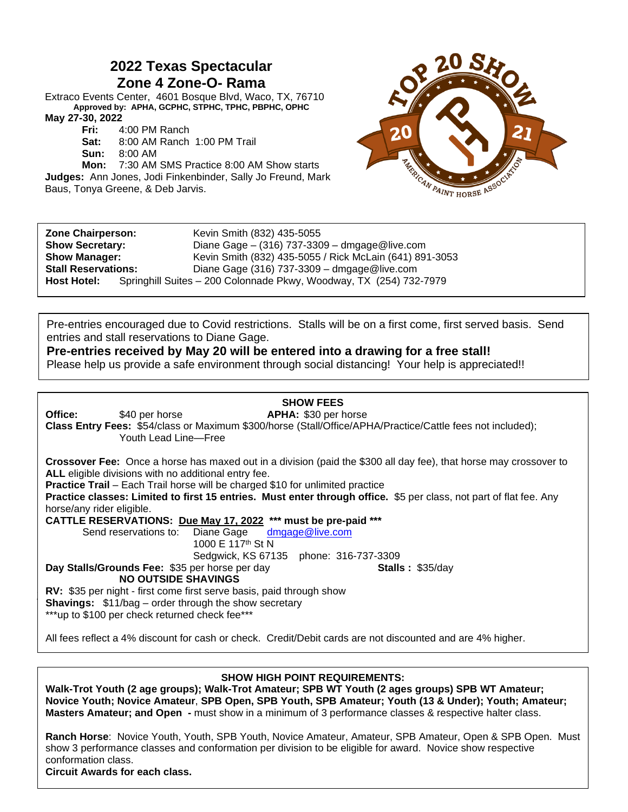# **2022 Texas Spectacular Zone 4 Zone-O- Rama**

Extraco Events Center, 4601 Bosque Blvd, Waco, TX, 76710 **Approved by: APHA, GCPHC, STPHC, TPHC, PBPHC, OPHC May 27-30, 2022**

**Fri:** 4:00 PM Ranch

**Sat:** 8:00 AM Ranch 1:00 PM Trail

**Sun:** 8:00 AM

**Mon:** 7:30 AM SMS Practice 8:00 AM Show starts **Judges:** Ann Jones, Jodi Finkenbinder, Sally Jo Freund, Mark Baus, Tonya Greene, & Deb Jarvis.



| <b>Zone Chairperson:</b><br><b>Show Secretary:</b> | Kevin Smith (832) 435-5055<br>Diane Gage $-$ (316) 737-3309 $-$ dmgage @ live.com |
|----------------------------------------------------|-----------------------------------------------------------------------------------|
| <b>Show Manager:</b>                               | Kevin Smith (832) 435-5055 / Rick McLain (641) 891-3053                           |
| <b>Stall Reservations:</b>                         | Diane Gage (316) 737-3309 - dmgage @live.com                                      |
| <b>Host Hotel:</b>                                 | Springhill Suites - 200 Colonnade Pkwy, Woodway, TX (254) 732-7979                |

Pre-entries encouraged due to Covid restrictions. Stalls will be on a first come, first served basis. Send entries and stall reservations to Diane Gage.

## **Pre-entries received by May 20 will be entered into a drawing for a free stall!**

Please help us provide a safe environment through social distancing! Your help is appreciated!!

### **SHOW FEES**

**Office:** \$40 per horse **APHA:** \$30 per horse **Class Entry Fees:** \$54/class or Maximum \$300/horse (Stall/Office/APHA/Practice/Cattle fees not included); Youth Lead Line—Free

**Crossover Fee:** Once a horse has maxed out in a division (paid the \$300 all day fee), that horse may crossover to **ALL** eligible divisions with no additional entry fee.

**Practice Trail** – Each Trail horse will be charged \$10 for unlimited practice

**Practice classes: Limited to first 15 entries. Must enter through office.** \$5 per class, not part of flat fee. Any horse/any rider eligible.

**CATTLE RESERVATIONS: Due May 17, 2022 \*\*\* must be pre-paid \*\*\***

Send reservations to: Diane Gage [dmgage@live.com](mailto:dmgage@live.com) 1000 E 117th St N

Sedgwick, KS 67135 phone: 316-737-3309

**Day Stalls/Grounds Fee: \$35 per horse per day <b>Stalls : \$35/day Stalls : \$35/day** 

**NO OUTSIDE SHAVINGS**

**RV:** \$35 per night - first come first serve basis, paid through show **Shavings:** \$11/bag – order through the show secretary \*\*\*up to \$100 per check returned check fee\*\*\*

All fees reflect a 4% discount for cash or check. Credit/Debit cards are not discounted and are 4% higher.

## **SHOW HIGH POINT REQUIREMENTS:**

**Walk-Trot Youth (2 age groups); Walk-Trot Amateur; SPB WT Youth (2 ages groups) SPB WT Amateur; Novice Youth; Novice Amateur**, **SPB Open, SPB Youth, SPB Amateur; Youth (13 & Under); Youth; Amateur; Masters Amateur; and Open -** must show in a minimum of 3 performance classes & respective halter class.

**Ranch Horse**: Novice Youth, Youth, SPB Youth, Novice Amateur, Amateur, SPB Amateur, Open & SPB Open. Must show 3 performance classes and conformation per division to be eligible for award. Novice show respective conformation class.

**Circuit Awards for each class.** 

**j**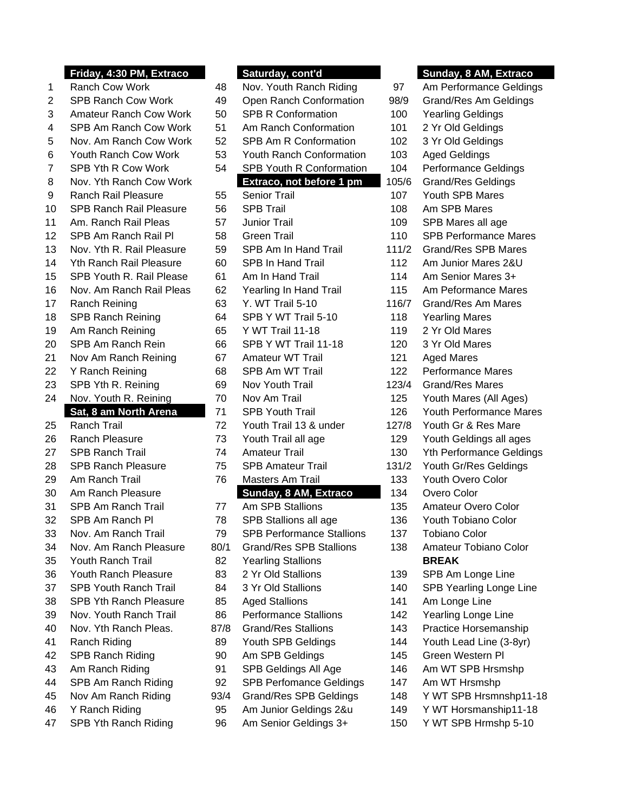|                      | .<br>ш,                                |
|----------------------|----------------------------------------|
| 1                    | Ranch Cow Work                         |
| $\overline{c}$       | SPB Ranch Cow Work                     |
| 3                    | <b>Amateur Ranch Cow Work</b>          |
| $\overline{4}$       | SPB Am Ranch Cow Work                  |
| 5                    | Nov. Am Ranch Cow Work                 |
| 6                    | Youth Ranch Cow Work                   |
| 7                    | SPB Yth R Cow Work                     |
| 8                    | Nov. Yth Ranch Cow Work                |
| 9                    | <b>Ranch Rail Pleasure</b>             |
| 10                   | <b>SPB Ranch Rail Pleasure</b>         |
| 11                   | Am. Ranch Rail Pleas                   |
| 12                   | SPB Am Ranch Rail Pl                   |
| 13                   | Nov. Yth R. Rail Pleasure              |
| 14                   | Yth Ranch Rail Pleasure                |
| 15                   | SPB Youth R. Rail Please               |
| 16                   | Nov. Am Ranch Rail Pleas               |
| 17                   | Ranch Reining                          |
| 18                   | <b>SPB Ranch Reining</b>               |
| 19                   | Am Ranch Reining                       |
| 20                   | SPB Am Ranch Rein                      |
| 21                   | Nov Am Ranch Reining                   |
| 22                   | Y Ranch Reining                        |
| 23                   | SPB Yth R. Reining                     |
|                      |                                        |
| 24                   | Nov. Youth R. Reining                  |
|                      | Sat, 8 am North Arena                  |
| 25                   | Ranch Trail                            |
| 26                   | <b>Ranch Pleasure</b>                  |
| 27                   | <b>SPB Ranch Trail</b>                 |
| 28                   | <b>SPB Ranch Pleasure</b>              |
| 29                   | Am Ranch Trail                         |
| 30                   | Am Ranch Pleasure                      |
| 31                   | <b>SPB Am Ranch Trail</b>              |
| 32                   | SPB Am Ranch Pl                        |
| 33                   | Nov. Am Ranch Trail                    |
| 34                   | Nov. Am Ranch Pleasure                 |
| 35                   | Youth Ranch Trail                      |
| 36                   | Youth Ranch Pleasure                   |
| 37                   | <b>SPB Youth Ranch Trail</b>           |
| 38                   | SPB Yth Ranch Pleasure                 |
| 39                   | Nov. Youth Ranch Trail                 |
|                      | Nov. Yth Ranch Pleas.                  |
|                      | Ranch Riding                           |
|                      | SPB Ranch Riding                       |
| 40<br>41<br>42<br>43 | Am Ranch Riding                        |
| 44                   | SPB Am Ranch Riding                    |
| 45                   | Nov Am Ranch Riding                    |
| 46<br>47             | Y Ranch Riding<br>SPB Yth Ranch Riding |

|    | Friday, 4:30 PM, Extraco       |      | Saturday, cont'd                 |         | Sunday, 8 AM, Extraco           |
|----|--------------------------------|------|----------------------------------|---------|---------------------------------|
| 1  | <b>Ranch Cow Work</b>          | 48   | Nov. Youth Ranch Riding          | 97      | Am Performance Geldings         |
| 2  | <b>SPB Ranch Cow Work</b>      | 49   | Open Ranch Conformation          | 98/9    | Grand/Res Am Geldings           |
| 3  | <b>Amateur Ranch Cow Work</b>  | 50   | <b>SPB R Conformation</b>        | 100     | <b>Yearling Geldings</b>        |
| 4  | SPB Am Ranch Cow Work          | 51   | Am Ranch Conformation            | 101     | 2 Yr Old Geldings               |
| 5  | Nov. Am Ranch Cow Work         | 52   | SPB Am R Conformation            | 102     | 3 Yr Old Geldings               |
| 6  | <b>Youth Ranch Cow Work</b>    | 53   | Youth Ranch Conformation         | 103     | <b>Aged Geldings</b>            |
| 7  | SPB Yth R Cow Work             | 54   | SPB Youth R Conformation         | 104     | Performance Geldings            |
| 8  | Nov. Yth Ranch Cow Work        |      | Extraco, not before 1 pm         | 105/6   | <b>Grand/Res Geldings</b>       |
| 9  | <b>Ranch Rail Pleasure</b>     | 55   | <b>Senior Trail</b>              | 107     | Youth SPB Mares                 |
| 10 | <b>SPB Ranch Rail Pleasure</b> | 56   | <b>SPB Trail</b>                 | 108     | Am SPB Mares                    |
| 11 | Am. Ranch Rail Pleas           | 57   | <b>Junior Trail</b>              | 109     | SPB Mares all age               |
| 12 | SPB Am Ranch Rail Pl           | 58   | <b>Green Trail</b>               | 110     | <b>SPB Performance Mares</b>    |
| 13 | Nov. Yth R. Rail Pleasure      | 59   | SPB Am In Hand Trail             | 111/2   | <b>Grand/Res SPB Mares</b>      |
| 14 | <b>Yth Ranch Rail Pleasure</b> | 60   | <b>SPB In Hand Trail</b>         | 112     | Am Junior Mares 2&U             |
| 15 | SPB Youth R. Rail Please       | 61   | Am In Hand Trail                 | 114     | Am Senior Mares 3+              |
| 16 | Nov. Am Ranch Rail Pleas       | 62   | Yearling In Hand Trail           | 115     | Am Peformance Mares             |
| 17 | Ranch Reining                  | 63   | Y. WT Trail 5-10                 | 116/7   | Grand/Res Am Mares              |
| 18 | <b>SPB Ranch Reining</b>       | 64   | SPB Y WT Trail 5-10              | 118     | <b>Yearling Mares</b>           |
| 19 | Am Ranch Reining               | 65   | Y WT Trail 11-18                 | 119     | 2 Yr Old Mares                  |
| 20 | SPB Am Ranch Rein              | 66   | SPB Y WT Trail 11-18             | 120     | 3 Yr Old Mares                  |
| 21 | Nov Am Ranch Reining           | 67   | Amateur WT Trail                 | 121     | <b>Aged Mares</b>               |
| 22 | Y Ranch Reining                | 68   | SPB Am WT Trail                  | 122     | <b>Performance Mares</b>        |
| 23 | SPB Yth R. Reining             | 69   | Nov Youth Trail                  | 123/4   | <b>Grand/Res Mares</b>          |
| 24 | Nov. Youth R. Reining          | 70   | Nov Am Trail                     | 125     | Youth Mares (All Ages)          |
|    | Sat, 8 am North Arena          | 71   | <b>SPB Youth Trail</b>           | 126     | <b>Youth Performance Mares</b>  |
| 25 | Ranch Trail                    | 72   | Youth Trail 13 & under           | 127/8   | Youth Gr & Res Mare             |
| 26 | Ranch Pleasure                 | 73   | Youth Trail all age              | 129     | Youth Geldings all ages         |
| 27 | <b>SPB Ranch Trail</b>         | 74   | <b>Amateur Trail</b>             | 130     | <b>Yth Performance Geldings</b> |
| 28 | <b>SPB Ranch Pleasure</b>      | 75   | <b>SPB Amateur Trail</b>         | 131/2   | Youth Gr/Res Geldings           |
| 29 | Am Ranch Trail                 | 76   | Masters Am Trail                 | 133     | Youth Overo Color               |
| 30 | Am Ranch Pleasure              |      | Sunday, 8 AM, Extraco            | 134     | Overo Color                     |
| 31 | <b>SPB Am Ranch Trail</b>      | 77   | Am SPB Stallions                 | 135     | Amateur Overo Color             |
| 32 | SPB Am Ranch Pl                | 78   | SPB Stallions all age            | 136     | <b>Youth Tobiano Color</b>      |
| 33 | Nov. Am Ranch Trail            | 79   | <b>SPB Performance Stallions</b> | 137     | <b>Tobiano Color</b>            |
| 34 | Nov. Am Ranch Pleasure         | 80/1 | <b>Grand/Res SPB Stallions</b>   | 138     | Amateur Tobiano Color           |
| 35 | Youth Ranch Trail              | 82   | <b>Yearling Stallions</b>        |         | <b>BREAK</b>                    |
| 36 | Youth Ranch Pleasure           | 83   | 2 Yr Old Stallions               | 139     | SPB Am Longe Line               |
| 37 | <b>SPB Youth Ranch Trail</b>   | 84   | 3 Yr Old Stallions               | 140     | SPB Yearling Longe Line         |
| 38 | SPB Yth Ranch Pleasure         | 85   | <b>Aged Stallions</b>            | 141     | Am Longe Line                   |
| 39 | Nov. Youth Ranch Trail         | 86   | <b>Performance Stallions</b>     | 142     | Yearling Longe Line             |
| 40 | Nov. Yth Ranch Pleas.          | 87/8 | <b>Grand/Res Stallions</b>       | 143     | Practice Horsemanship           |
| 41 | Ranch Riding                   | 89   | Youth SPB Geldings               | 144     | Youth Lead Line (3-8yr)         |
| 42 | SPB Ranch Riding               | 90   | Am SPB Geldings                  | 145     | Green Western PI                |
| 43 | Am Ranch Riding                | 91   | SPB Geldings All Age             | 146     | Am WT SPB Hrsmshp               |
| 44 | SPB Am Ranch Riding            | 92   | <b>SPB Perfomance Geldings</b>   | 147     | Am WT Hrsmshp                   |
| 45 | Nov Am Ranch Riding            | 93/4 | <b>Grand/Res SPB Geldings</b>    | 148     | Y WT SPB Hrsmnshp11-18          |
| 46 | Y Ranch Riding                 | 95   | Am Junior Geldings 2&u           | 149     | Y WT Horsmanship11-18           |
| 17 | <b>CDR Vth Danch Diding</b>    | QG.  | Am Sonior Coldings 3+            | $150 -$ | V MT SDR Hrmchn 5-10            |

96 Am Senior Geldings 3+ 150 Y WT SPB Hrmshp 5-10